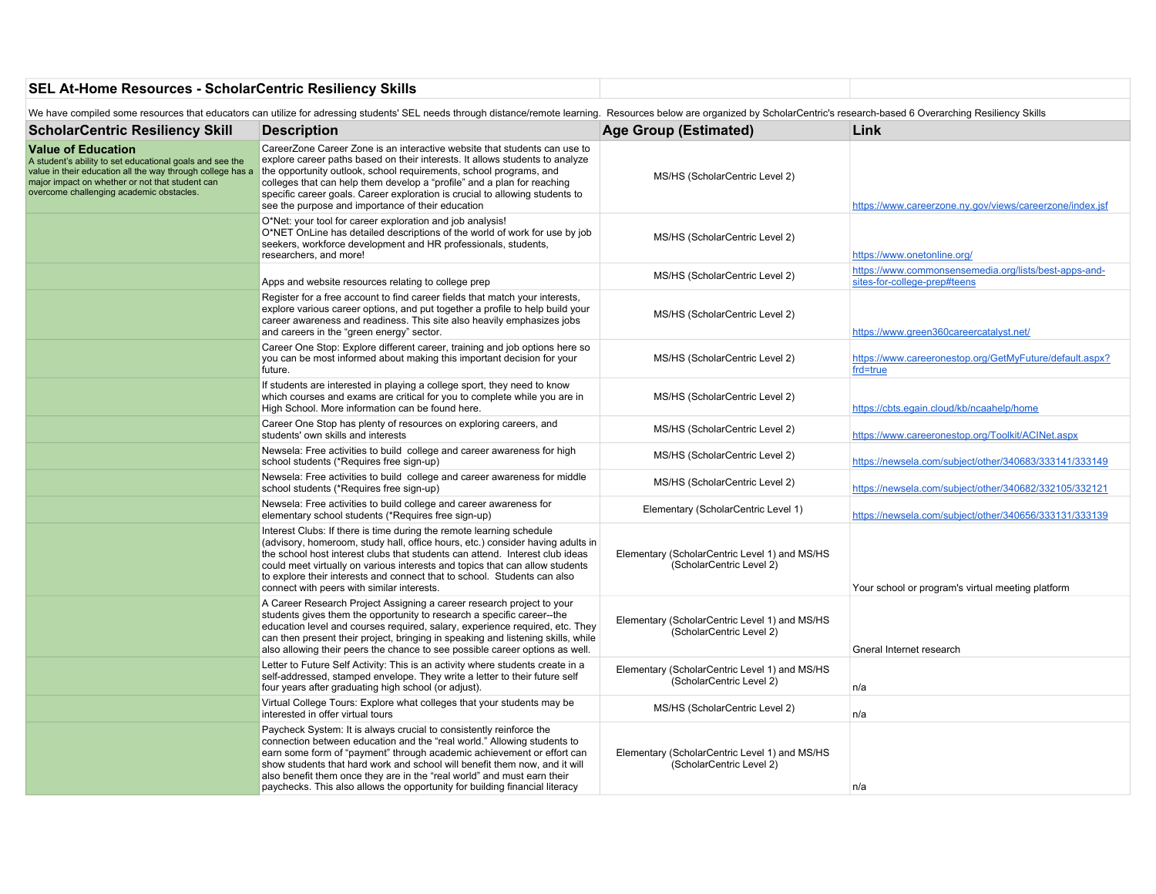## **SEL At-Home Resources - ScholarCentric Resiliency Skills**

We have compiled some resources that educators can utilize for adressing students' SEL needs through distance/remote learning. Resources below are organized by ScholarCentric's research-based 6 Overarching Resiliency Skill

| <b>ScholarCentric Resiliency Skill</b>                                                                                                                                                                                                             | <b>Description</b>                                                                                                                                                                                                                                                                                                                                                                                                                                               | Age Group (Estimated)                                                     | Link                                                                                  |
|----------------------------------------------------------------------------------------------------------------------------------------------------------------------------------------------------------------------------------------------------|------------------------------------------------------------------------------------------------------------------------------------------------------------------------------------------------------------------------------------------------------------------------------------------------------------------------------------------------------------------------------------------------------------------------------------------------------------------|---------------------------------------------------------------------------|---------------------------------------------------------------------------------------|
| <b>Value of Education</b><br>A student's ability to set educational goals and see the<br>value in their education all the way through college has a<br>major impact on whether or not that student can<br>overcome challenging academic obstacles. | CareerZone Career Zone is an interactive website that students can use to<br>explore career paths based on their interests. It allows students to analyze<br>the opportunity outlook, school requirements, school programs, and<br>colleges that can help them develop a "profile" and a plan for reaching<br>specific career goals. Career exploration is crucial to allowing students to<br>see the purpose and importance of their education                  | MS/HS (ScholarCentric Level 2)                                            | https://www.careerzone.ny.gov/views/careerzone/index.jsf                              |
|                                                                                                                                                                                                                                                    | O*Net: your tool for career exploration and job analysis!<br>O*NET OnLine has detailed descriptions of the world of work for use by job<br>seekers, workforce development and HR professionals, students,<br>researchers, and more!                                                                                                                                                                                                                              | MS/HS (ScholarCentric Level 2)                                            | https://www.onetonline.org/                                                           |
|                                                                                                                                                                                                                                                    | Apps and website resources relating to college prep                                                                                                                                                                                                                                                                                                                                                                                                              | MS/HS (ScholarCentric Level 2)                                            | https://www.commonsensemedia.org/lists/best-apps-and-<br>sites-for-college-prep#teens |
|                                                                                                                                                                                                                                                    | Register for a free account to find career fields that match your interests,<br>explore various career options, and put together a profile to help build your<br>career awareness and readiness. This site also heavily emphasizes jobs<br>and careers in the "green energy" sector.                                                                                                                                                                             | MS/HS (ScholarCentric Level 2)                                            | https://www.green360careercatalyst.net/                                               |
|                                                                                                                                                                                                                                                    | Career One Stop: Explore different career, training and job options here so<br>you can be most informed about making this important decision for your<br>future.                                                                                                                                                                                                                                                                                                 | MS/HS (ScholarCentric Level 2)                                            | https://www.careeronestop.org/GetMyFuture/default.aspx?<br>frd=true                   |
|                                                                                                                                                                                                                                                    | If students are interested in playing a college sport, they need to know<br>which courses and exams are critical for you to complete while you are in<br>High School. More information can be found here.                                                                                                                                                                                                                                                        | MS/HS (ScholarCentric Level 2)                                            | https://cbts.egain.cloud/kb/ncaahelp/home                                             |
|                                                                                                                                                                                                                                                    | Career One Stop has plenty of resources on exploring careers, and<br>students' own skills and interests                                                                                                                                                                                                                                                                                                                                                          | MS/HS (ScholarCentric Level 2)                                            | https://www.careeronestop.org/Toolkit/ACINet.aspx                                     |
|                                                                                                                                                                                                                                                    | Newsela: Free activities to build college and career awareness for high<br>school students (*Requires free sign-up)                                                                                                                                                                                                                                                                                                                                              | MS/HS (ScholarCentric Level 2)                                            | https://newsela.com/subject/other/340683/333141/333149                                |
|                                                                                                                                                                                                                                                    | Newsela: Free activities to build college and career awareness for middle<br>school students (*Requires free sign-up)                                                                                                                                                                                                                                                                                                                                            | MS/HS (ScholarCentric Level 2)                                            | https://newsela.com/subject/other/340682/332105/332121                                |
|                                                                                                                                                                                                                                                    | Newsela: Free activities to build college and career awareness for<br>elementary school students (*Requires free sign-up)                                                                                                                                                                                                                                                                                                                                        | Elementary (ScholarCentric Level 1)                                       | https://newsela.com/subject/other/340656/333131/333139                                |
|                                                                                                                                                                                                                                                    | Interest Clubs: If there is time during the remote learning schedule<br>(advisory, homeroom, study hall, office hours, etc.) consider having adults in<br>the school host interest clubs that students can attend. Interest club ideas<br>could meet virtually on various interests and topics that can allow students<br>to explore their interests and connect that to school. Students can also<br>connect with peers with similar interests.                 | Elementary (ScholarCentric Level 1) and MS/HS<br>(ScholarCentric Level 2) | Your school or program's virtual meeting platform                                     |
|                                                                                                                                                                                                                                                    | A Career Research Project Assigning a career research project to your<br>students gives them the opportunity to research a specific career--the<br>education level and courses required, salary, experience required, etc. They<br>can then present their project, bringing in speaking and listening skills, while<br>also allowing their peers the chance to see possible career options as well.                                                              | Elementary (ScholarCentric Level 1) and MS/HS<br>(ScholarCentric Level 2) | Gneral Internet research                                                              |
|                                                                                                                                                                                                                                                    | Letter to Future Self Activity: This is an activity where students create in a<br>self-addressed, stamped envelope. They write a letter to their future self<br>four years after graduating high school (or adjust).                                                                                                                                                                                                                                             | Elementary (ScholarCentric Level 1) and MS/HS<br>(ScholarCentric Level 2) | n/a                                                                                   |
|                                                                                                                                                                                                                                                    | Virtual College Tours: Explore what colleges that your students may be<br>interested in offer virtual tours                                                                                                                                                                                                                                                                                                                                                      | MS/HS (ScholarCentric Level 2)                                            | n/a                                                                                   |
|                                                                                                                                                                                                                                                    | Paycheck System: It is always crucial to consistently reinforce the<br>connection between education and the "real world." Allowing students to<br>earn some form of "payment" through academic achievement or effort can<br>show students that hard work and school will benefit them now, and it will<br>also benefit them once they are in the "real world" and must earn their<br>paychecks. This also allows the opportunity for building financial literacy | Elementary (ScholarCentric Level 1) and MS/HS<br>(ScholarCentric Level 2) | n/a                                                                                   |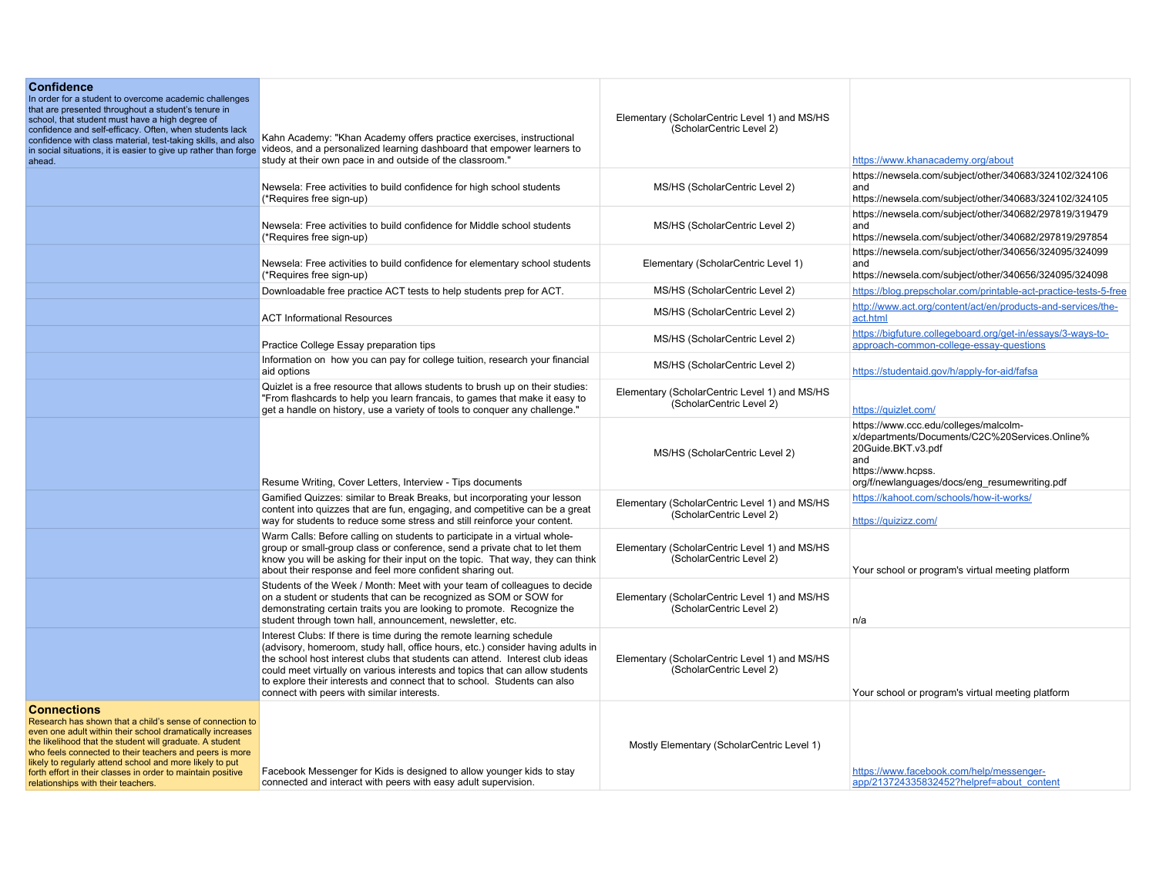| <b>Confidence</b><br>In order for a student to overcome academic challenges<br>that are presented throughout a student's tenure in<br>school, that student must have a high degree of<br>confidence and self-efficacy. Often, when students lack<br>confidence with class material, test-taking skills, and also<br>in social situations, it is easier to give up rather than forge<br>ahead.                                       | Kahn Academy: "Khan Academy offers practice exercises, instructional<br>videos, and a personalized learning dashboard that empower learners to<br>study at their own pace in and outside of the classroom."                                                                                                                                                                                                                                      | Elementary (ScholarCentric Level 1) and MS/HS<br>(ScholarCentric Level 2) | https://www.khanacademy.org/about                                                                                                                                                           |
|-------------------------------------------------------------------------------------------------------------------------------------------------------------------------------------------------------------------------------------------------------------------------------------------------------------------------------------------------------------------------------------------------------------------------------------|--------------------------------------------------------------------------------------------------------------------------------------------------------------------------------------------------------------------------------------------------------------------------------------------------------------------------------------------------------------------------------------------------------------------------------------------------|---------------------------------------------------------------------------|---------------------------------------------------------------------------------------------------------------------------------------------------------------------------------------------|
|                                                                                                                                                                                                                                                                                                                                                                                                                                     | Newsela: Free activities to build confidence for high school students<br>(*Requires free sign-up)                                                                                                                                                                                                                                                                                                                                                | MS/HS (ScholarCentric Level 2)                                            | https://newsela.com/subject/other/340683/324102/324106<br>and<br>https://newsela.com/subject/other/340683/324102/324105                                                                     |
|                                                                                                                                                                                                                                                                                                                                                                                                                                     | Newsela: Free activities to build confidence for Middle school students<br>(*Requires free sign-up)                                                                                                                                                                                                                                                                                                                                              | MS/HS (ScholarCentric Level 2)                                            | https://newsela.com/subject/other/340682/297819/319479<br>and<br>https://newsela.com/subject/other/340682/297819/297854                                                                     |
|                                                                                                                                                                                                                                                                                                                                                                                                                                     | Newsela: Free activities to build confidence for elementary school students<br>(*Requires free sign-up)                                                                                                                                                                                                                                                                                                                                          | Elementary (ScholarCentric Level 1)                                       | https://newsela.com/subject/other/340656/324095/324099<br>and<br>https://newsela.com/subject/other/340656/324095/324098                                                                     |
|                                                                                                                                                                                                                                                                                                                                                                                                                                     | Downloadable free practice ACT tests to help students prep for ACT.                                                                                                                                                                                                                                                                                                                                                                              | MS/HS (ScholarCentric Level 2)                                            | https://blog.prepscholar.com/printable-act-practice-tests-5-free                                                                                                                            |
|                                                                                                                                                                                                                                                                                                                                                                                                                                     | <b>ACT Informational Resources</b>                                                                                                                                                                                                                                                                                                                                                                                                               | MS/HS (ScholarCentric Level 2)                                            | http://www.act.org/content/act/en/products-and-services/the-<br>act.html                                                                                                                    |
|                                                                                                                                                                                                                                                                                                                                                                                                                                     | Practice College Essay preparation tips                                                                                                                                                                                                                                                                                                                                                                                                          | MS/HS (ScholarCentric Level 2)                                            | https://bigfuture.collegeboard.org/get-in/essays/3-ways-to-<br>approach-common-college-essay-questions                                                                                      |
|                                                                                                                                                                                                                                                                                                                                                                                                                                     | Information on how you can pay for college tuition, research your financial<br>aid options                                                                                                                                                                                                                                                                                                                                                       | MS/HS (ScholarCentric Level 2)                                            | https://studentaid.gov/h/apply-for-aid/fafsa                                                                                                                                                |
|                                                                                                                                                                                                                                                                                                                                                                                                                                     | Quizlet is a free resource that allows students to brush up on their studies:<br>"From flashcards to help you learn francais, to games that make it easy to<br>get a handle on history, use a variety of tools to conquer any challenge."                                                                                                                                                                                                        | Elementary (ScholarCentric Level 1) and MS/HS<br>(ScholarCentric Level 2) | https://quizlet.com/                                                                                                                                                                        |
|                                                                                                                                                                                                                                                                                                                                                                                                                                     | Resume Writing, Cover Letters, Interview - Tips documents                                                                                                                                                                                                                                                                                                                                                                                        | MS/HS (ScholarCentric Level 2)                                            | https://www.ccc.edu/colleges/malcolm-<br>x/departments/Documents/C2C%20Services.Online%<br>20Guide.BKT.v3.pdf<br>and<br>https://www.hcpss.<br>org/f/newlanguages/docs/eng resumewriting.pdf |
|                                                                                                                                                                                                                                                                                                                                                                                                                                     | Gamified Quizzes: similar to Break Breaks, but incorporating your lesson<br>content into quizzes that are fun, engaging, and competitive can be a great<br>way for students to reduce some stress and still reinforce your content.                                                                                                                                                                                                              | Elementary (ScholarCentric Level 1) and MS/HS<br>(ScholarCentric Level 2) | https://kahoot.com/schools/how-it-works/<br>https://quizizz.com/                                                                                                                            |
|                                                                                                                                                                                                                                                                                                                                                                                                                                     | Warm Calls: Before calling on students to participate in a virtual whole-<br>group or small-group class or conference, send a private chat to let them<br>know you will be asking for their input on the topic. That way, they can think<br>about their response and feel more confident sharing out.                                                                                                                                            | Elementary (ScholarCentric Level 1) and MS/HS<br>(ScholarCentric Level 2) | Your school or program's virtual meeting platform                                                                                                                                           |
|                                                                                                                                                                                                                                                                                                                                                                                                                                     | Students of the Week / Month: Meet with your team of colleagues to decide<br>on a student or students that can be recognized as SOM or SOW for<br>demonstrating certain traits you are looking to promote. Recognize the<br>student through town hall, announcement, newsletter, etc.                                                                                                                                                            | Elementary (ScholarCentric Level 1) and MS/HS<br>(ScholarCentric Level 2) | n/a                                                                                                                                                                                         |
|                                                                                                                                                                                                                                                                                                                                                                                                                                     | Interest Clubs: If there is time during the remote learning schedule<br>(advisory, homeroom, study hall, office hours, etc.) consider having adults in<br>the school host interest clubs that students can attend. Interest club ideas<br>could meet virtually on various interests and topics that can allow students<br>to explore their interests and connect that to school. Students can also<br>connect with peers with similar interests. | Elementary (ScholarCentric Level 1) and MS/HS<br>(ScholarCentric Level 2) | Your school or program's virtual meeting platform                                                                                                                                           |
| <b>Connections</b><br>Research has shown that a child's sense of connection to<br>even one adult within their school dramatically increases<br>the likelihood that the student will graduate. A student<br>who feels connected to their teachers and peers is more<br>likely to regularly attend school and more likely to put<br>forth effort in their classes in order to maintain positive<br>relationships with their teachers. | Facebook Messenger for Kids is designed to allow younger kids to stay<br>connected and interact with peers with easy adult supervision.                                                                                                                                                                                                                                                                                                          | Mostly Elementary (ScholarCentric Level 1)                                | https://www.facebook.com/help/messenger-<br>app/213724335832452?helpref=about content                                                                                                       |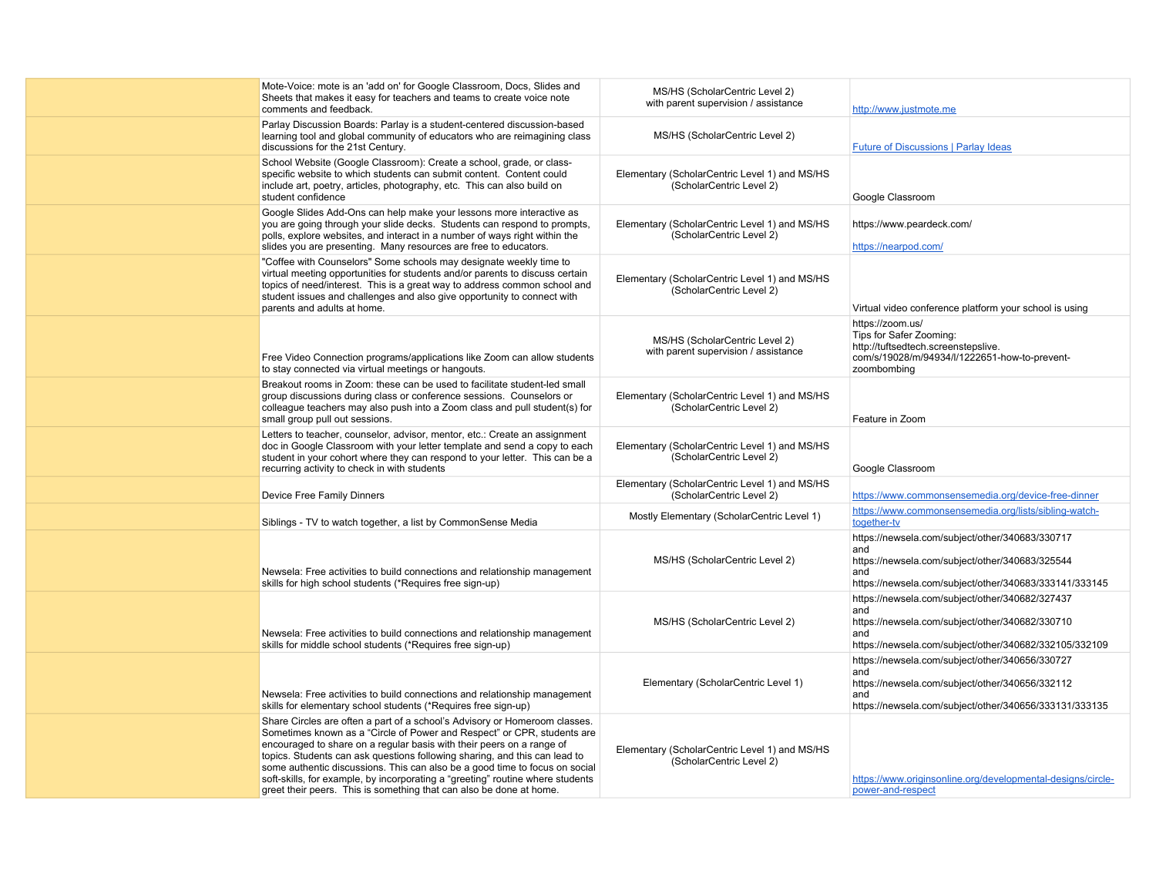| Mote-Voice: mote is an 'add on' for Google Classroom, Docs, Slides and<br>Sheets that makes it easy for teachers and teams to create voice note<br>comments and feedback.                                                                                                                                                                                                                                                                                                                                                                            | MS/HS (ScholarCentric Level 2)<br>with parent supervision / assistance    | http://www.justmote.me                                                                                                                                                     |
|------------------------------------------------------------------------------------------------------------------------------------------------------------------------------------------------------------------------------------------------------------------------------------------------------------------------------------------------------------------------------------------------------------------------------------------------------------------------------------------------------------------------------------------------------|---------------------------------------------------------------------------|----------------------------------------------------------------------------------------------------------------------------------------------------------------------------|
| Parlay Discussion Boards: Parlay is a student-centered discussion-based<br>learning tool and global community of educators who are reimagining class<br>discussions for the 21st Century.                                                                                                                                                                                                                                                                                                                                                            | MS/HS (ScholarCentric Level 2)                                            | <b>Future of Discussions   Parlay Ideas</b>                                                                                                                                |
| School Website (Google Classroom): Create a school, grade, or class-<br>specific website to which students can submit content. Content could<br>include art, poetry, articles, photography, etc. This can also build on<br>student confidence                                                                                                                                                                                                                                                                                                        | Elementary (ScholarCentric Level 1) and MS/HS<br>(ScholarCentric Level 2) | Google Classroom                                                                                                                                                           |
| Google Slides Add-Ons can help make your lessons more interactive as<br>you are going through your slide decks. Students can respond to prompts,<br>polls, explore websites, and interact in a number of ways right within the<br>slides you are presenting. Many resources are free to educators.                                                                                                                                                                                                                                                   | Elementary (ScholarCentric Level 1) and MS/HS<br>(ScholarCentric Level 2) | https://www.peardeck.com/<br>https://nearpod.com/                                                                                                                          |
| "Coffee with Counselors" Some schools may designate weekly time to<br>virtual meeting opportunities for students and/or parents to discuss certain<br>topics of need/interest. This is a great way to address common school and<br>student issues and challenges and also give opportunity to connect with<br>parents and adults at home.                                                                                                                                                                                                            | Elementary (ScholarCentric Level 1) and MS/HS<br>(ScholarCentric Level 2) | Virtual video conference platform your school is using                                                                                                                     |
| Free Video Connection programs/applications like Zoom can allow students<br>to stay connected via virtual meetings or hangouts.                                                                                                                                                                                                                                                                                                                                                                                                                      | MS/HS (ScholarCentric Level 2)<br>with parent supervision / assistance    | https://zoom.us/<br>Tips for Safer Zooming:<br>http://tuftsedtech.screenstepslive.<br>com/s/19028/m/94934/l/1222651-how-to-prevent-<br>zoombombing                         |
| Breakout rooms in Zoom: these can be used to facilitate student-led small<br>group discussions during class or conference sessions. Counselors or<br>colleague teachers may also push into a Zoom class and pull student(s) for<br>small group pull out sessions.                                                                                                                                                                                                                                                                                    | Elementary (ScholarCentric Level 1) and MS/HS<br>(ScholarCentric Level 2) | Feature in Zoom                                                                                                                                                            |
| Letters to teacher, counselor, advisor, mentor, etc.: Create an assignment<br>doc in Google Classroom with your letter template and send a copy to each<br>student in your cohort where they can respond to your letter. This can be a<br>recurring activity to check in with students                                                                                                                                                                                                                                                               | Elementary (ScholarCentric Level 1) and MS/HS<br>(ScholarCentric Level 2) | Google Classroom                                                                                                                                                           |
| Device Free Family Dinners                                                                                                                                                                                                                                                                                                                                                                                                                                                                                                                           | Elementary (ScholarCentric Level 1) and MS/HS<br>(ScholarCentric Level 2) | https://www.commonsensemedia.org/device-free-dinner                                                                                                                        |
| Siblings - TV to watch together, a list by CommonSense Media                                                                                                                                                                                                                                                                                                                                                                                                                                                                                         | Mostly Elementary (ScholarCentric Level 1)                                | https://www.commonsensemedia.org/lists/sibling-watch-<br>together-tv                                                                                                       |
| Newsela: Free activities to build connections and relationship management<br>skills for high school students (*Requires free sign-up)                                                                                                                                                                                                                                                                                                                                                                                                                | MS/HS (ScholarCentric Level 2)                                            | https://newsela.com/subject/other/340683/330717<br>and<br>https://newsela.com/subject/other/340683/325544<br>and<br>https://newsela.com/subject/other/340683/333141/333145 |
| Newsela: Free activities to build connections and relationship management<br>skills for middle school students (*Requires free sign-up)                                                                                                                                                                                                                                                                                                                                                                                                              | MS/HS (ScholarCentric Level 2)                                            | https://newsela.com/subject/other/340682/327437<br>and<br>https://newsela.com/subject/other/340682/330710<br>and<br>https://newsela.com/subject/other/340682/332105/332109 |
| Newsela: Free activities to build connections and relationship management<br>skills for elementary school students (*Requires free sign-up)                                                                                                                                                                                                                                                                                                                                                                                                          | Elementary (ScholarCentric Level 1)                                       | https://newsela.com/subject/other/340656/330727<br>and<br>https://newsela.com/subject/other/340656/332112<br>and<br>https://newsela.com/subject/other/340656/333131/333135 |
| Share Circles are often a part of a school's Advisory or Homeroom classes.<br>Sometimes known as a "Circle of Power and Respect" or CPR, students are<br>encouraged to share on a regular basis with their peers on a range of<br>topics. Students can ask questions following sharing, and this can lead to<br>some authentic discussions. This can also be a good time to focus on social<br>soft-skills, for example, by incorporating a "greeting" routine where students<br>greet their peers. This is something that can also be done at home. | Elementary (ScholarCentric Level 1) and MS/HS<br>(ScholarCentric Level 2) | https://www.originsonline.org/developmental-designs/circle-<br>power-and-respect                                                                                           |
|                                                                                                                                                                                                                                                                                                                                                                                                                                                                                                                                                      |                                                                           |                                                                                                                                                                            |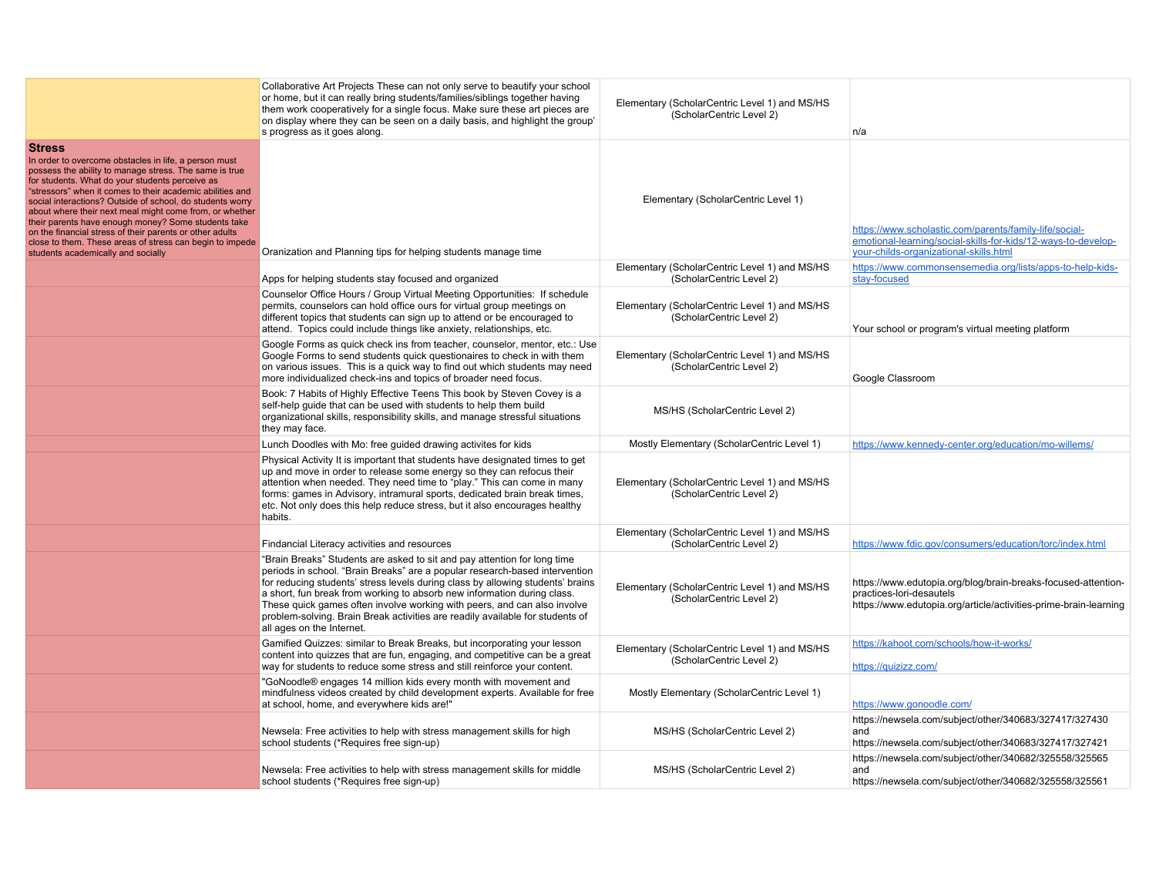|                                                                                                                                                                                                                                                                                                                                                                                                                                                                                                                                                                                               | Collaborative Art Projects These can not only serve to beautify your school<br>or home, but it can really bring students/families/siblings together having<br>them work cooperatively for a single focus. Make sure these art pieces are<br>on display where they can be seen on a daily basis, and highlight the group'<br>s progress as it goes along.                                                                                                                                                       | Elementary (ScholarCentric Level 1) and MS/HS<br>(ScholarCentric Level 2) | n/a                                                                                                                                                               |
|-----------------------------------------------------------------------------------------------------------------------------------------------------------------------------------------------------------------------------------------------------------------------------------------------------------------------------------------------------------------------------------------------------------------------------------------------------------------------------------------------------------------------------------------------------------------------------------------------|----------------------------------------------------------------------------------------------------------------------------------------------------------------------------------------------------------------------------------------------------------------------------------------------------------------------------------------------------------------------------------------------------------------------------------------------------------------------------------------------------------------|---------------------------------------------------------------------------|-------------------------------------------------------------------------------------------------------------------------------------------------------------------|
| <b>Stress</b><br>In order to overcome obstacles in life, a person must<br>possess the ability to manage stress. The same is true<br>for students. What do your students perceive as<br>"stressors" when it comes to their academic abilities and<br>social interactions? Outside of school, do students worry<br>about where their next meal might come from, or whether<br>their parents have enough money? Some students take<br>on the financial stress of their parents or other adults<br>close to them. These areas of stress can begin to impede<br>students academically and socially | Oranization and Planning tips for helping students manage time                                                                                                                                                                                                                                                                                                                                                                                                                                                 | Elementary (ScholarCentric Level 1)                                       | https://www.scholastic.com/parents/family-life/social-<br>emotional-learning/social-skills-for-kids/12-ways-to-develop-<br>your-childs-organizational-skills.html |
|                                                                                                                                                                                                                                                                                                                                                                                                                                                                                                                                                                                               | Apps for helping students stay focused and organized                                                                                                                                                                                                                                                                                                                                                                                                                                                           | Elementary (ScholarCentric Level 1) and MS/HS<br>(ScholarCentric Level 2) | https://www.commonsensemedia.org/lists/apps-to-help-kids-<br>stay-focused                                                                                         |
|                                                                                                                                                                                                                                                                                                                                                                                                                                                                                                                                                                                               | Counselor Office Hours / Group Virtual Meeting Opportunities: If schedule<br>permits, counselors can hold office ours for virtual group meetings on<br>different topics that students can sign up to attend or be encouraged to<br>attend. Topics could include things like anxiety, relationships, etc.                                                                                                                                                                                                       | Elementary (ScholarCentric Level 1) and MS/HS<br>(ScholarCentric Level 2) | Your school or program's virtual meeting platform                                                                                                                 |
|                                                                                                                                                                                                                                                                                                                                                                                                                                                                                                                                                                                               | Google Forms as quick check ins from teacher, counselor, mentor, etc.: Use<br>Google Forms to send students quick questionaires to check in with them<br>on various issues. This is a quick way to find out which students may need<br>more individualized check-ins and topics of broader need focus.                                                                                                                                                                                                         | Elementary (ScholarCentric Level 1) and MS/HS<br>(ScholarCentric Level 2) | Google Classroom                                                                                                                                                  |
|                                                                                                                                                                                                                                                                                                                                                                                                                                                                                                                                                                                               | Book: 7 Habits of Highly Effective Teens This book by Steven Covey is a<br>self-help guide that can be used with students to help them build<br>organizational skills, responsibility skills, and manage stressful situations<br>they may face.                                                                                                                                                                                                                                                                | MS/HS (ScholarCentric Level 2)                                            |                                                                                                                                                                   |
|                                                                                                                                                                                                                                                                                                                                                                                                                                                                                                                                                                                               | Lunch Doodles with Mo: free guided drawing activites for kids                                                                                                                                                                                                                                                                                                                                                                                                                                                  | Mostly Elementary (ScholarCentric Level 1)                                | https://www.kennedy-center.org/education/mo-willems/                                                                                                              |
|                                                                                                                                                                                                                                                                                                                                                                                                                                                                                                                                                                                               | Physical Activity It is important that students have designated times to get<br>up and move in order to release some energy so they can refocus their<br>attention when needed. They need time to "play." This can come in many<br>forms: games in Advisory, intramural sports, dedicated brain break times,<br>etc. Not only does this help reduce stress, but it also encourages healthy<br>habits.                                                                                                          | Elementary (ScholarCentric Level 1) and MS/HS<br>(ScholarCentric Level 2) |                                                                                                                                                                   |
|                                                                                                                                                                                                                                                                                                                                                                                                                                                                                                                                                                                               | Findancial Literacy activities and resources                                                                                                                                                                                                                                                                                                                                                                                                                                                                   | Elementary (ScholarCentric Level 1) and MS/HS<br>(ScholarCentric Level 2) | https://www.fdic.gov/consumers/education/torc/index.html                                                                                                          |
|                                                                                                                                                                                                                                                                                                                                                                                                                                                                                                                                                                                               | "Brain Breaks" Students are asked to sit and pay attention for long time<br>periods in school. "Brain Breaks" are a popular research-based intervention<br>for reducing students' stress levels during class by allowing students' brains<br>a short, fun break from working to absorb new information during class.<br>These quick games often involve working with peers, and can also involve<br>problem-solving. Brain Break activities are readily available for students of<br>all ages on the Internet. | Elementary (ScholarCentric Level 1) and MS/HS<br>(ScholarCentric Level 2) | https://www.edutopia.org/blog/brain-breaks-focused-attention-<br>practices-lori-desautels<br>https://www.edutopia.org/article/activities-prime-brain-learning     |
|                                                                                                                                                                                                                                                                                                                                                                                                                                                                                                                                                                                               | Gamified Quizzes: similar to Break Breaks, but incorporating your lesson<br>content into quizzes that are fun, engaging, and competitive can be a great<br>way for students to reduce some stress and still reinforce your content.                                                                                                                                                                                                                                                                            | Elementary (ScholarCentric Level 1) and MS/HS<br>(ScholarCentric Level 2) | https://kahoot.com/schools/how-it-works/<br>https://quizizz.com/                                                                                                  |
|                                                                                                                                                                                                                                                                                                                                                                                                                                                                                                                                                                                               | "GoNoodle® engages 14 million kids every month with movement and<br>mindfulness videos created by child development experts. Available for free<br>at school, home, and everywhere kids are!"                                                                                                                                                                                                                                                                                                                  | Mostly Elementary (ScholarCentric Level 1)                                | https://www.gonoodle.com/                                                                                                                                         |
|                                                                                                                                                                                                                                                                                                                                                                                                                                                                                                                                                                                               | Newsela: Free activities to help with stress management skills for high<br>school students (*Requires free sign-up)                                                                                                                                                                                                                                                                                                                                                                                            | MS/HS (ScholarCentric Level 2)                                            | https://newsela.com/subject/other/340683/327417/327430<br>and<br>https://newsela.com/subject/other/340683/327417/327421                                           |
|                                                                                                                                                                                                                                                                                                                                                                                                                                                                                                                                                                                               | Newsela: Free activities to help with stress management skills for middle<br>school students (*Requires free sign-up)                                                                                                                                                                                                                                                                                                                                                                                          | MS/HS (ScholarCentric Level 2)                                            | https://newsela.com/subject/other/340682/325558/325565<br>and<br>https://newsela.com/subject/other/340682/325558/325561                                           |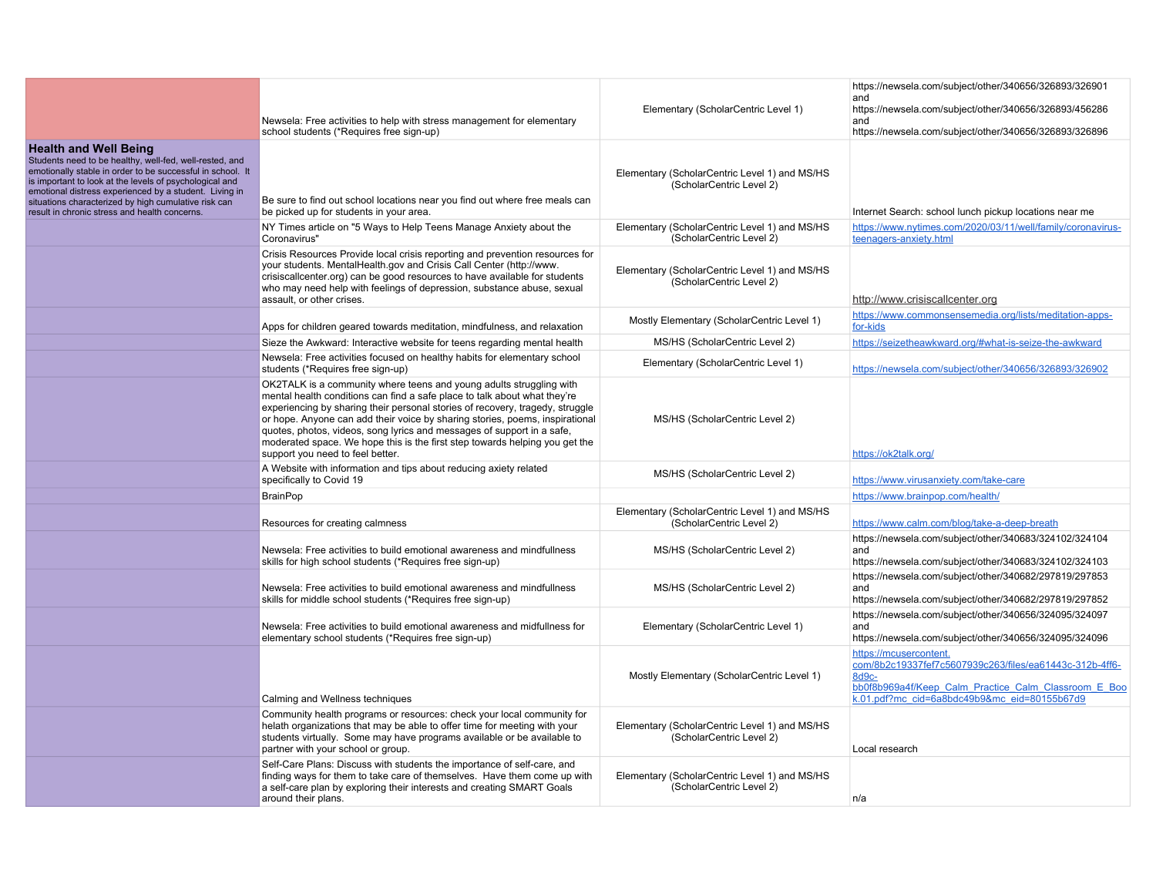|                                                                                                                                                                                                                                                                                                                                                                                     | Newsela: Free activities to help with stress management for elementary<br>school students (*Requires free sign-up)                                                                                                                                                                                                                                                                                                                                                                                             | Elementary (ScholarCentric Level 1)                                       | https://newsela.com/subject/other/340656/326893/326901<br>and<br>https://newsela.com/subject/other/340656/326893/456286<br>and<br>https://newsela.com/subject/other/340656/326893/326896           |
|-------------------------------------------------------------------------------------------------------------------------------------------------------------------------------------------------------------------------------------------------------------------------------------------------------------------------------------------------------------------------------------|----------------------------------------------------------------------------------------------------------------------------------------------------------------------------------------------------------------------------------------------------------------------------------------------------------------------------------------------------------------------------------------------------------------------------------------------------------------------------------------------------------------|---------------------------------------------------------------------------|----------------------------------------------------------------------------------------------------------------------------------------------------------------------------------------------------|
| <b>Health and Well Being</b><br>Students need to be healthy, well-fed, well-rested, and<br>emotionally stable in order to be successful in school. It<br>is important to look at the levels of psychological and<br>emotional distress experienced by a student. Living in<br>situations characterized by high cumulative risk can<br>result in chronic stress and health concerns. | Be sure to find out school locations near you find out where free meals can<br>be picked up for students in your area.                                                                                                                                                                                                                                                                                                                                                                                         | Elementary (ScholarCentric Level 1) and MS/HS<br>(ScholarCentric Level 2) | Internet Search: school lunch pickup locations near me                                                                                                                                             |
|                                                                                                                                                                                                                                                                                                                                                                                     | NY Times article on "5 Ways to Help Teens Manage Anxiety about the<br>Coronavirus"                                                                                                                                                                                                                                                                                                                                                                                                                             | Elementary (ScholarCentric Level 1) and MS/HS<br>(ScholarCentric Level 2) | https://www.nytimes.com/2020/03/11/well/family/coronavirus-<br>teenagers-anxiety.html                                                                                                              |
|                                                                                                                                                                                                                                                                                                                                                                                     | Crisis Resources Provide local crisis reporting and prevention resources for<br>your students. MentalHealth.gov and Crisis Call Center (http://www.<br>crisiscallcenter.org) can be good resources to have available for students<br>who may need help with feelings of depression, substance abuse, sexual<br>assault, or other crises.                                                                                                                                                                       | Elementary (ScholarCentric Level 1) and MS/HS<br>(ScholarCentric Level 2) | http://www.crisiscallcenter.org                                                                                                                                                                    |
|                                                                                                                                                                                                                                                                                                                                                                                     | Apps for children geared towards meditation, mindfulness, and relaxation                                                                                                                                                                                                                                                                                                                                                                                                                                       | Mostly Elementary (ScholarCentric Level 1)                                | https://www.commonsensemedia.org/lists/meditation-apps-<br>for-kids                                                                                                                                |
|                                                                                                                                                                                                                                                                                                                                                                                     | Sieze the Awkward: Interactive website for teens regarding mental health                                                                                                                                                                                                                                                                                                                                                                                                                                       | MS/HS (ScholarCentric Level 2)                                            | https://seizetheawkward.org/#what-is-seize-the-awkward                                                                                                                                             |
|                                                                                                                                                                                                                                                                                                                                                                                     | Newsela: Free activities focused on healthy habits for elementary school<br>students (*Requires free sign-up)                                                                                                                                                                                                                                                                                                                                                                                                  | Elementary (ScholarCentric Level 1)                                       | https://newsela.com/subject/other/340656/326893/326902                                                                                                                                             |
|                                                                                                                                                                                                                                                                                                                                                                                     | OK2TALK is a community where teens and young adults struggling with<br>mental health conditions can find a safe place to talk about what they're<br>experiencing by sharing their personal stories of recovery, tragedy, struggle<br>or hope. Anyone can add their voice by sharing stories, poems, inspirational<br>quotes, photos, videos, song lyrics and messages of support in a safe,<br>moderated space. We hope this is the first step towards helping you get the<br>support you need to feel better. | MS/HS (ScholarCentric Level 2)                                            | https://ok2talk.org/                                                                                                                                                                               |
|                                                                                                                                                                                                                                                                                                                                                                                     | A Website with information and tips about reducing axiety related<br>specifically to Covid 19                                                                                                                                                                                                                                                                                                                                                                                                                  | MS/HS (ScholarCentric Level 2)                                            | https://www.virusanxiety.com/take-care                                                                                                                                                             |
|                                                                                                                                                                                                                                                                                                                                                                                     | <b>BrainPop</b>                                                                                                                                                                                                                                                                                                                                                                                                                                                                                                |                                                                           | https://www.brainpop.com/health/                                                                                                                                                                   |
|                                                                                                                                                                                                                                                                                                                                                                                     | Resources for creating calmness                                                                                                                                                                                                                                                                                                                                                                                                                                                                                | Elementary (ScholarCentric Level 1) and MS/HS<br>(ScholarCentric Level 2) | https://www.calm.com/blog/take-a-deep-breath                                                                                                                                                       |
|                                                                                                                                                                                                                                                                                                                                                                                     | Newsela: Free activities to build emotional awareness and mindfullness<br>skills for high school students (*Requires free sign-up)                                                                                                                                                                                                                                                                                                                                                                             | MS/HS (ScholarCentric Level 2)                                            | https://newsela.com/subject/other/340683/324102/324104<br>and<br>https://newsela.com/subject/other/340683/324102/324103                                                                            |
|                                                                                                                                                                                                                                                                                                                                                                                     | Newsela: Free activities to build emotional awareness and mindfullness<br>skills for middle school students (*Requires free sign-up)                                                                                                                                                                                                                                                                                                                                                                           | MS/HS (ScholarCentric Level 2)                                            | https://newsela.com/subject/other/340682/297819/297853<br>and<br>https://newsela.com/subject/other/340682/297819/297852                                                                            |
|                                                                                                                                                                                                                                                                                                                                                                                     | Newsela: Free activities to build emotional awareness and midfullness for<br>elementary school students (*Requires free sign-up)                                                                                                                                                                                                                                                                                                                                                                               | Elementary (ScholarCentric Level 1)                                       | https://newsela.com/subject/other/340656/324095/324097<br>and<br>https://newsela.com/subject/other/340656/324095/324096                                                                            |
|                                                                                                                                                                                                                                                                                                                                                                                     | Calming and Wellness techniques                                                                                                                                                                                                                                                                                                                                                                                                                                                                                | Mostly Elementary (ScholarCentric Level 1)                                | https://mcusercontent.<br>com/8b2c19337fef7c5607939c263/files/ea61443c-312b-4ff6-<br>8d9c-<br>bb0f8b969a4f/Keep Calm Practice Calm Classroom E Boo<br>k.01.pdf?mc_cid=6a8bdc49b9&mc_eid=80155b67d9 |
|                                                                                                                                                                                                                                                                                                                                                                                     | Community health programs or resources: check your local community for<br>helath organizations that may be able to offer time for meeting with your<br>students virtually. Some may have programs available or be available to<br>partner with your school or group.                                                                                                                                                                                                                                           | Elementary (ScholarCentric Level 1) and MS/HS<br>(ScholarCentric Level 2) | Local research                                                                                                                                                                                     |
|                                                                                                                                                                                                                                                                                                                                                                                     | Self-Care Plans: Discuss with students the importance of self-care, and<br>finding ways for them to take care of themselves. Have them come up with<br>a self-care plan by exploring their interests and creating SMART Goals<br>around their plans.                                                                                                                                                                                                                                                           | Elementary (ScholarCentric Level 1) and MS/HS<br>(ScholarCentric Level 2) | n/a                                                                                                                                                                                                |